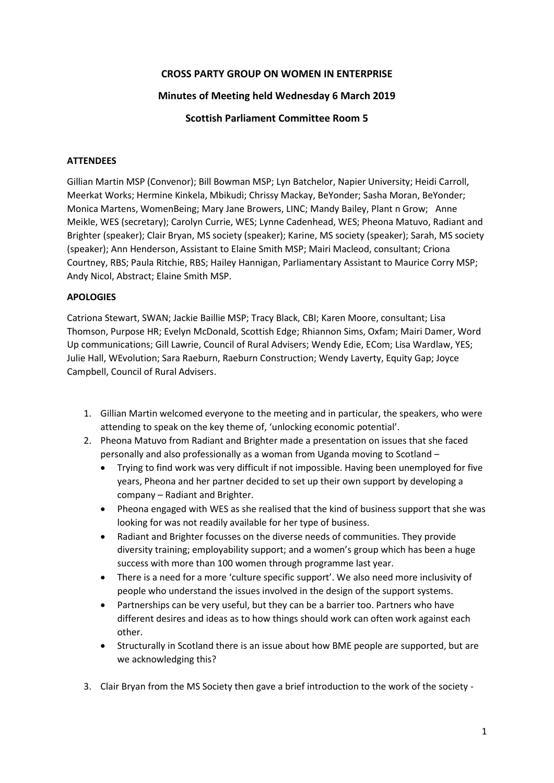# **CROSS PARTY GROUP ON WOMEN IN ENTERPRISE**

## **Minutes of Meeting held Wednesday 6 March 2019**

## **Scottish Parliament Committee Room 5**

#### **ATTENDEES**

Gillian Martin MSP (Convenor); Bill Bowman MSP; Lyn Batchelor, Napier University; Heidi Carroll, Meerkat Works; Hermine Kinkela, Mbikudi; Chrissy Mackay, BeYonder; Sasha Moran, BeYonder; Monica Martens, WomenBeing; Mary Jane Browers, LINC; Mandy Bailey, Plant n Grow; Anne Meikle, WES (secretary); Carolyn Currie, WES; Lynne Cadenhead, WES; Pheona Matuvo, Radiant and Brighter (speaker); Clair Bryan, MS society (speaker); Karine, MS society (speaker); Sarah, MS society (speaker); Ann Henderson, Assistant to Elaine Smith MSP; Mairi Macleod, consultant; Criona Courtney, RBS; Paula Ritchie, RBS; Hailey Hannigan, Parliamentary Assistant to Maurice Corry MSP; Andy Nicol, Abstract; Elaine Smith MSP.

### **APOLOGIES**

Catriona Stewart, SWAN; Jackie Baillie MSP; Tracy Black, CBI; Karen Moore, consultant; Lisa Thomson, Purpose HR; Evelyn McDonald, Scottish Edge; Rhiannon Sims, Oxfam; Mairi Damer, Word Up communications; Gill Lawrie, Council of Rural Advisers; Wendy Edie, ECom; Lisa Wardlaw, YES; Julie Hall, WEvolution; Sara Raeburn, Raeburn Construction; Wendy Laverty, Equity Gap; Joyce Campbell, Council of Rural Advisers.

- 1. Gillian Martin welcomed everyone to the meeting and in particular, the speakers, who were attending to speak on the key theme of, 'unlocking economic potential'.
- 2. Pheona Matuvo from Radiant and Brighter made a presentation on issues that she faced personally and also professionally as a woman from Uganda moving to Scotland –
	- Trying to find work was very difficult if not impossible. Having been unemployed for five years, Pheona and her partner decided to set up their own support by developing a company – Radiant and Brighter.
	- Pheona engaged with WES as she realised that the kind of business support that she was looking for was not readily available for her type of business.
	- Radiant and Brighter focusses on the diverse needs of communities. They provide diversity training; employability support; and a women's group which has been a huge success with more than 100 women through programme last year.
	- There is a need for a more 'culture specific support'. We also need more inclusivity of people who understand the issues involved in the design of the support systems.
	- Partnerships can be very useful, but they can be a barrier too. Partners who have different desires and ideas as to how things should work can often work against each other.
	- Structurally in Scotland there is an issue about how BME people are supported, but are we acknowledging this?
- 3. Clair Bryan from the MS Society then gave a brief introduction to the work of the society -